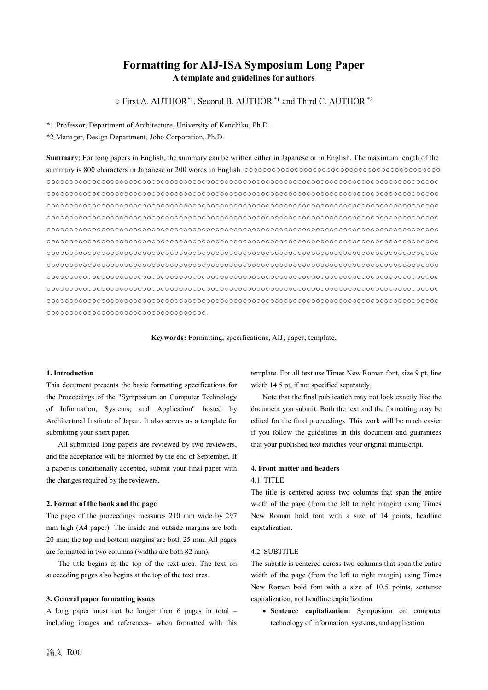# **Formatting for AIJ-ISA Symposium Long Paper A template and guidelines for authors**

○ First A. AUTHOR\*1, Second B. AUTHOR \*1 and Third C. AUTHOR \*2

\*1 Professor, Department of Architecture, University of Kenchiku, Ph.D.

\*2 Manager, Design Department, Joho Corporation, Ph.D.

**Summary**: For long papers in English, the summary can be written either in Japanese or in English. The maximum length of the summary is 800 characters in Japanese or 200 words in English. ○○○○○○○○○○○○○○○○○○○○○○○○○○○○○○○○○○○○○○○○○○○ ○○○○○○○○○○○○○○○○○○○○○○○○○○○○○○○○○○○○○○○○○○○○○○○○○○○○○○○○○○○○○○○○○○○○○○○○○○○○○○○○○○○○○○ ○○○○○○○○○○○○○○○○○○○○○○○○○○○○○○○○○○○○○○○○○○○○○○○○○○○○○○○○○○○○○○○○○○○○○○○○○○○○○○○○○○○○○○ ○○○○○○○○○○○○○○○○○○○○○○○○○○○○○○○○○○○○○○○○○○○○○○○○○○○○○○○○○○○○○○○○○○○○○○○○○○○○○○○○○○○○○○ ○○○○○○○○○○○○○○○○○○○○○○○○○○○○○○○○○○○○○○○○○○○○○○○○○○○○○○○○○○○○○○○○○○○○○○○○○○○○○○○○○○○○○○ ○○○○○○○○○○○○○○○○○○○○○○○○○○○○○○○○○○○○○○○○○○○○○○○○○○○○○○○○○○○○○○○○○○○○○○○○○○○○○○○○○○○○○○ ○○○○○○○○○○○○○○○○○○○○○○○○○○○○○○○○○○○○○○○○○○○○○○○○○○○○○○○○○○○○○○○○○○○○○○○○○○○○○○○○○○○○○○ ○○○○○○○○○○○○○○○○○○○○○○○○○○○○○○○○○○○○○○○○○○○○○○○○○○○○○○○○○○○○○○○○○○○○○○○○○○○○○○○○○○○○○○ ○○○○○○○○○○○○○○○○○○○○○○○○○○○○○○○○○○○○○○○○○○○○○○○○○○○○○○○○○○○○○○○○○○○○○○○○○○○○○○○○○○○○○○ ○○○○○○○○○○○○○○○○○○○○○○○○○○○○○○○○○○○○○○○○○○○○○○○○○○○○○○○○○○○○○○○○○○○○○○○○○○○○○○○○○○○○○○ ○○○○○○○○○○○○○○○○○○○○○○○○○○○○○○○○○○○○○○○○○○○○○○○○○○○○○○○○○○○○○○○○○○○○○○○○○○○○○○○○○○○○○○ ○○○○○○○○○○○○○○○○○○○○○○○○○○○○○○○○○○○○○○○○○○○○○○○○○○○○○○○○○○○○○○○○○○○○○○○○○○○○○○○○○○○○○○ ○○○○○○○○○○○○○○○○○○○○○○○○○○○○○○○○○○○.

**Keywords:** Formatting; specifications; AIJ; paper; template.

## **1. Introduction**

This document presents the basic formatting specifications for the Proceedings of the "Symposium on Computer Technology of Information, Systems, and Application" hosted by Architectural Institute of Japan. It also serves as a template for submitting your short paper.

All submitted long papers are reviewed by two reviewers, and the acceptance will be informed by the end of September. If a paper is conditionally accepted, submit your final paper with the changes required by the reviewers.

#### **2. Format of the book and the page**

The page of the proceedings measures 210 mm wide by 297 mm high (A4 paper). The inside and outside margins are both 20 mm; the top and bottom margins are both 25 mm. All pages are formatted in two columns (widths are both 82 mm).

The title begins at the top of the text area. The text on succeeding pages also begins at the top of the text area.

#### **3. General paper formatting issues**

A long paper must not be longer than 6 pages in total – including images and references– when formatted with this template. For all text use Times New Roman font, size 9 pt, line width 14.5 pt, if not specified separately.

Note that the final publication may not look exactly like the document you submit. Both the text and the formatting may be edited for the final proceedings. This work will be much easier if you follow the guidelines in this document and guarantees that your published text matches your original manuscript.

### **4. Front matter and headers**

### 4.1. TITLE

The title is centered across two columns that span the entire width of the page (from the left to right margin) using Times New Roman bold font with a size of 14 points, headline capitalization.

### 4.2. SUBTITLE

The subtitle is centered across two columns that span the entire width of the page (from the left to right margin) using Times New Roman bold font with a size of 10.5 points, sentence capitalization, not headline capitalization.

• **Sentence capitalization:** Symposium on computer technology of information, systems, and application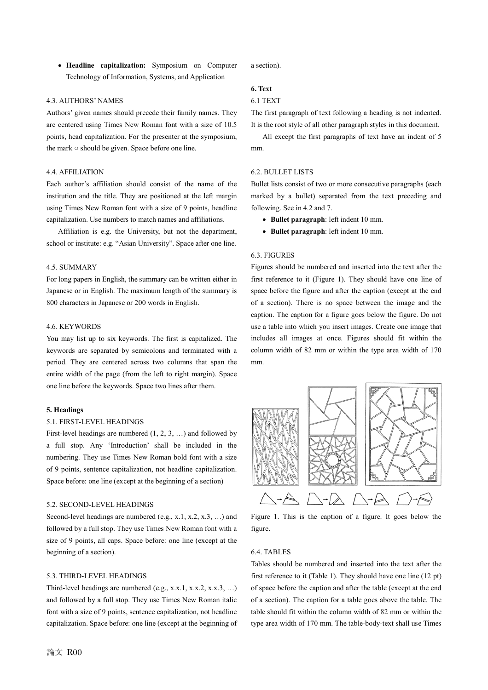• **Headline capitalization:** Symposium on Computer Technology of Information, Systems, and Application

### 4.3. AUTHORS' NAMES

Authors' given names should precede their family names. They are centered using Times New Roman font with a size of 10.5 points, head capitalization. For the presenter at the symposium, the mark ○ should be given. Space before one line.

### 4.4. AFFILIATION

Each author's affiliation should consist of the name of the institution and the title. They are positioned at the left margin using Times New Roman font with a size of 9 points, headline capitalization. Use numbers to match names and affiliations.

Affiliation is e.g. the University, but not the department, school or institute: e.g. "Asian University". Space after one line.

## 4.5. SUMMARY

For long papers in English, the summary can be written either in Japanese or in English. The maximum length of the summary is 800 characters in Japanese or 200 words in English.

## 4.6. KEYWORDS

You may list up to six keywords. The first is capitalized. The keywords are separated by semicolons and terminated with a period. They are centered across two columns that span the entire width of the page (from the left to right margin). Space one line before the keywords. Space two lines after them.

### **5. Headings**

### 5.1. FIRST-LEVEL HEADINGS

First-level headings are numbered (1, 2, 3, …) and followed by a full stop. Any 'Introduction' shall be included in the numbering. They use Times New Roman bold font with a size of 9 points, sentence capitalization, not headline capitalization. Space before: one line (except at the beginning of a section)

### 5.2. SECOND-LEVEL HEADINGS

Second-level headings are numbered (e.g., x.1, x.2, x.3, ...) and followed by a full stop. They use Times New Roman font with a size of 9 points, all caps. Space before: one line (except at the beginning of a section).

### 5.3. THIRD-LEVEL HEADINGS

Third-level headings are numbered (e.g., x.x.1, x.x.2, x.x.3, …) and followed by a full stop. They use Times New Roman italic font with a size of 9 points, sentence capitalization, not headline capitalization. Space before: one line (except at the beginning of a section).

# **6. Text**

# 6.1 TEXT

The first paragraph of text following a heading is not indented. It is the root style of all other paragraph styles in this document.

All except the first paragraphs of text have an indent of 5 mm.

#### 6.2. BULLET LISTS

Bullet lists consist of two or more consecutive paragraphs (each marked by a bullet) separated from the text preceding and following. See in 4.2 and 7.

- **Bullet paragraph**: left indent 10 mm.
- **Bullet paragraph**: left indent 10 mm.

## 6.3. FIGURES

Figures should be numbered and inserted into the text after the first reference to it (Figure 1). They should have one line of space before the figure and after the caption (except at the end of a section). There is no space between the image and the caption. The caption for a figure goes below the figure. Do not use a table into which you insert images. Create one image that includes all images at once. Figures should fit within the column width of 82 mm or within the type area width of 170 mm.



Figure 1. This is the caption of a figure. It goes below the figure.

# 6.4. TABLES

Tables should be numbered and inserted into the text after the first reference to it (Table 1). They should have one line (12 pt) of space before the caption and after the table (except at the end of a section). The caption for a table goes above the table. The table should fit within the column width of 82 mm or within the type area width of 170 mm. The table-body-text shall use Times